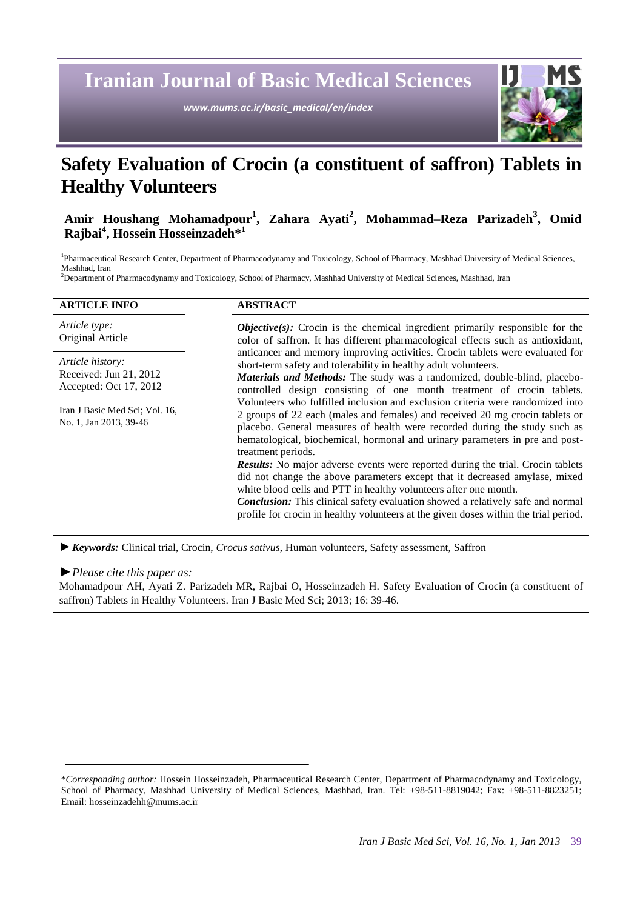**Iranian Journal of Basic Medical Sciences**

*www.mums.ac.ir/basic\_medical/en/index*



# **Safety Evaluation of Crocin (a constituent of saffron) Tablets in Healthy Volunteers**

# **Amir Houshang Mohamadpour<sup>1</sup> , Zahara Ayati<sup>2</sup> , Mohammad–Reza Parizadeh<sup>3</sup> , Omid Rajbai<sup>4</sup> , Hossein Hosseinzadeh\*<sup>1</sup>**

1 Pharmaceutical Research Center, Department of Pharmacodynamy and Toxicology, School of Pharmacy, Mashhad University of Medical Sciences, Mashhad, Iran

<sup>2</sup>Department of Pharmacodynamy and Toxicology, School of Pharmacy, Mashhad University of Medical Sciences, Mashhad, Iran

| <b>ARTICLE INFO</b>                                                  | <b>ABSTRACT</b>                                                                                                                                                                                                                                                                                                                                                                                                             |
|----------------------------------------------------------------------|-----------------------------------------------------------------------------------------------------------------------------------------------------------------------------------------------------------------------------------------------------------------------------------------------------------------------------------------------------------------------------------------------------------------------------|
| Article type:<br>Original Article                                    | <b><i>Objective(s)</i></b> : Crocin is the chemical ingredient primarily responsible for the<br>color of saffron. It has different pharmacological effects such as antioxidant,                                                                                                                                                                                                                                             |
| Article history:<br>Received: Jun 21, 2012<br>Accepted: Oct 17, 2012 | anticancer and memory improving activities. Crocin tablets were evaluated for<br>short-term safety and tolerability in healthy adult volunteers.<br><b>Materials and Methods:</b> The study was a randomized, double-blind, placebo-<br>controlled design consisting of one month treatment of crocin tablets.                                                                                                              |
| Iran J Basic Med Sci; Vol. 16,<br>No. 1, Jan 2013, 39-46             | Volunteers who fulfilled inclusion and exclusion criteria were randomized into<br>2 groups of 22 each (males and females) and received 20 mg crocin tablets or<br>placebo. General measures of health were recorded during the study such as<br>hematological, biochemical, hormonal and urinary parameters in pre and post-<br>treatment periods.                                                                          |
|                                                                      | <b>Results:</b> No major adverse events were reported during the trial. Crocin tablets<br>did not change the above parameters except that it decreased amylase, mixed<br>white blood cells and PTT in healthy volunteers after one month.<br><b>Conclusion:</b> This clinical safety evaluation showed a relatively safe and normal<br>profile for crocin in healthy volunteers at the given doses within the trial period. |

*►Keywords:* Clinical trial, Crocin, *Crocus sativus*, Human volunteers, Safety assessment, Saffron

#### *►Please cite this paper as:*

Mohamadpour AH, Ayati Z. Parizadeh MR, Rajbai O, Hosseinzadeh H. Safety Evaluation of Crocin (a constituent of saffron) Tablets in Healthy Volunteers. Iran J Basic Med Sci; 2013; 16: 39-46.

<sup>\*</sup>*Corresponding author:* Hossein Hosseinzadeh, Pharmaceutical Research Center, Department of Pharmacodynamy and Toxicology, School of Pharmacy, Mashhad University of Medical Sciences, Mashhad, Iran. Tel: +98-511-8819042; Fax: +98-511-8823251; Email: hosseinzadehh@mums.ac.ir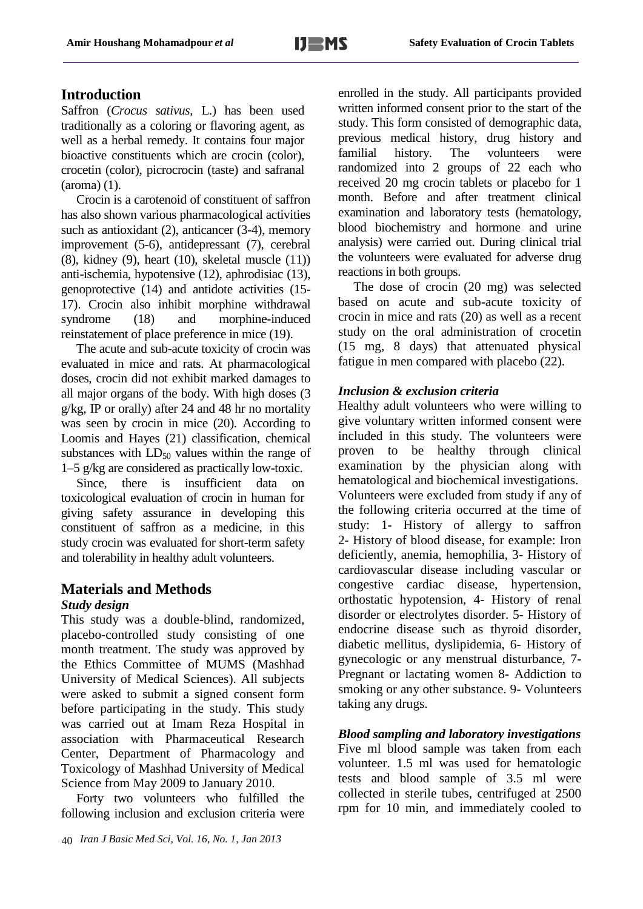# **Introduction**

Saffron (*Crocus sativus*, L.) has been used traditionally as a coloring or flavoring agent, as well as a herbal remedy. It contains four major bioactive constituents which are crocin (color), crocetin (color), picrocrocin (taste) and safranal (aroma) (1).

Crocin is a carotenoid of constituent of saffron has also shown various pharmacological activities such as antioxidant (2), anticancer (3-4), memory improvement (5-6), antidepressant (7), cerebral (8), kidney (9), heart (10), skeletal muscle (11)) anti-ischemia, hypotensive (12), aphrodisiac (13), genoprotective (14) and antidote activities (15- 17). Crocin also inhibit morphine withdrawal syndrome (18) and morphine-induced reinstatement of place preference in mice (19).

The acute and sub-acute toxicity of crocin was evaluated in mice and rats. At pharmacological doses, crocin did not exhibit marked damages to all major organs of the body. With high doses (3 g/kg, IP or orally) after 24 and 48 hr no mortality was seen by crocin in mice (20). According to Loomis and Hayes (21) classification, chemical substances with  $LD_{50}$  values within the range of 1–5 g/kg are considered as practically low-toxic.

Since, there is insufficient data on toxicological evaluation of crocin in human for giving safety assurance in developing this constituent of saffron as a medicine, in this study crocin was evaluated for short-term safety and tolerability in healthy adult volunteers.

# **Materials and Methods**

# *Study design*

This study was a double-blind, randomized, placebo-controlled study consisting of one month treatment. The study was approved by the Ethics Committee of MUMS (Mashhad University of Medical Sciences). All subjects were asked to submit a signed consent form before participating in the study. This study was carried out at Imam Reza Hospital in association with Pharmaceutical Research Center, Department of Pharmacology and Toxicology of Mashhad University of Medical Science from May 2009 to January 2010.

Forty two volunteers who fulfilled the following inclusion and exclusion criteria were enrolled in the study. All participants provided written informed consent prior to the start of the study. This form consisted of demographic data, previous medical history, drug history and familial history. The volunteers were randomized into 2 groups of 22 each who received 20 mg crocin tablets or placebo for 1 month. Before and after treatment clinical examination and laboratory tests (hematology, blood biochemistry and hormone and urine analysis) were carried out. During clinical trial the volunteers were evaluated for adverse drug reactions in both groups.

The dose of crocin (20 mg) was selected based on acute and sub-acute toxicity of crocin in mice and rats (20) as well as a recent study on the oral administration of crocetin (15 mg, 8 days) that attenuated physical fatigue in men compared with placebo (22).

# *Inclusion & exclusion criteria*

Healthy adult volunteers who were willing to give voluntary written informed consent were included in this study. The volunteers were proven to be healthy through clinical examination by the physician along with hematological and biochemical investigations. Volunteers were excluded from study if any of the following criteria occurred at the time of study: 1- History of allergy to saffron 2- History of blood disease, for example: Iron deficiently, anemia, hemophilia, 3- History of cardiovascular disease including vascular or congestive cardiac disease, hypertension, orthostatic hypotension, 4- History of renal disorder or electrolytes disorder. 5- History of endocrine disease such as thyroid disorder, diabetic mellitus, dyslipidemia, 6- History of gynecologic or any menstrual disturbance, 7- Pregnant or lactating women 8- Addiction to smoking or any other substance. 9- Volunteers taking any drugs.

*Blood sampling and laboratory investigations* Five ml blood sample was taken from each volunteer. 1.5 ml was used for hematologic tests and blood sample of 3.5 ml were collected in sterile tubes, centrifuged at 2500 rpm for 10 min, and immediately cooled to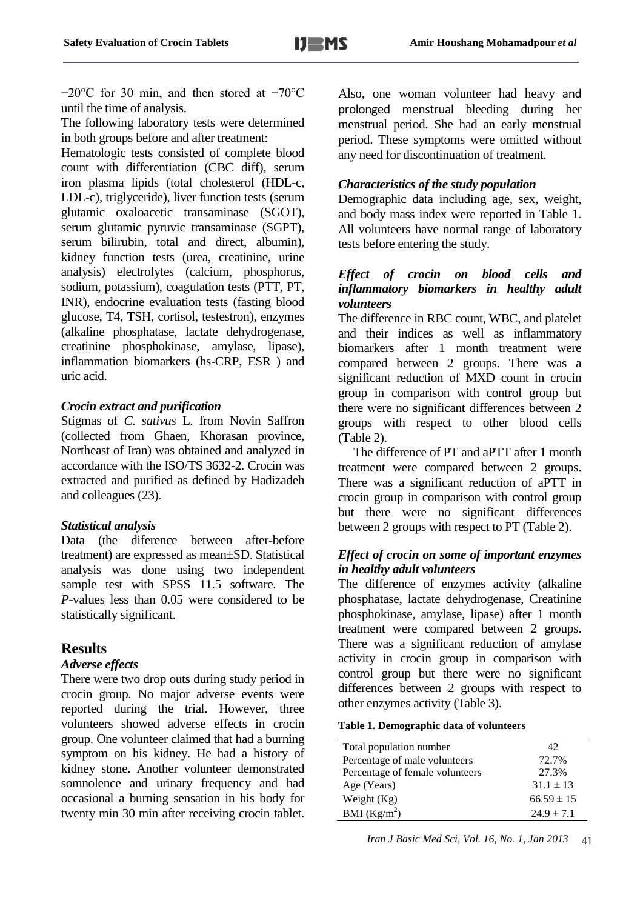−20°C for 30 min, and then stored at −70°C until the time of analysis.

The following laboratory tests were determined in both groups before and after treatment:

Hematologic tests consisted of complete blood count with differentiation (CBC diff), serum iron plasma lipids (total cholesterol (HDL-c, LDL-c), triglyceride), liver function tests (serum glutamic oxaloacetic transaminase (SGOT), serum glutamic pyruvic transaminase (SGPT), serum bilirubin, total and direct, albumin), kidney function tests (urea, creatinine, urine analysis) electrolytes (calcium, phosphorus, sodium, potassium), coagulation tests (PTT, PT, INR), endocrine evaluation tests (fasting blood glucose, T4, TSH, cortisol, testestron), enzymes (alkaline phosphatase, lactate dehydrogenase, creatinine phosphokinase, amylase, lipase), inflammation biomarkers (hs-CRP, ESR ) and uric acid.

## *Crocin extract and purification*

Stigmas of *C. sativus* L. from Novin Saffron (collected from Ghaen, Khorasan province, Northeast of Iran) was obtained and analyzed in accordance with the ISO/TS 3632-2. Crocin was extracted and purified as defined by Hadizadeh and colleagues (23).

#### *Statistical analysis*

Data (the diference between after-before treatment) are expressed as mean±SD. Statistical analysis was done using two independent sample test with SPSS 11.5 software. The *P*-values less than 0.05 were considered to be statistically significant.

# **Results**

#### *Adverse effects*

There were two drop outs during study period in crocin group. No major adverse events were reported during the trial. However, three volunteers showed adverse effects in crocin group. One volunteer claimed that had a burning symptom on his kidney. He had a history of kidney stone. Another volunteer demonstrated somnolence and urinary frequency and had occasional a burning sensation in his body for twenty min 30 min after receiving crocin tablet.

Also, one woman volunteer had heavy and prolonged menstrual bleeding during her menstrual period. She had an early menstrual period. These symptoms were omitted without any need for discontinuation of treatment.

# **ِ***Characteristics of the study population*

Demographic data including age, sex, weight, and body mass index were reported in Table 1. All volunteers have normal range of laboratory tests before entering the study.

#### *Effect of crocin on blood cells and inflammatory biomarkers in healthy adult volunteers*

The difference in RBC count, WBC, and platelet and their indices as well as inflammatory biomarkers after 1 month treatment were compared between 2 groups. There was a significant reduction of MXD count in crocin group in comparison with control group but there were no significant differences between 2 groups with respect to other blood cells (Table 2).

The difference of PT and aPTT after 1 month treatment were compared between 2 groups. There was a significant reduction of aPTT in crocin group in comparison with control group but there were no significant differences between 2 groups with respect to PT (Table 2).

## *Effect of crocin on some of important enzymes in healthy adult volunteers*

The difference of enzymes activity (alkaline phosphatase, lactate dehydrogenase, Creatinine phosphokinase, amylase, lipase) after 1 month treatment were compared between 2 groups. There was a significant reduction of amylase activity in crocin group in comparison with control group but there were no significant differences between 2 groups with respect to other enzymes activity (Table 3).

| Table 1. Demographic data of volunteers |  |  |  |  |  |
|-----------------------------------------|--|--|--|--|--|
|-----------------------------------------|--|--|--|--|--|

| Total population number         | 42             |
|---------------------------------|----------------|
| Percentage of male volunteers   | 72.7%          |
| Percentage of female volunteers | 27.3%          |
| Age (Years)                     | $31.1 \pm 13$  |
| Weight $(Kg)$                   | $66.59 \pm 15$ |
| BMI $(Kg/m^2)$                  | $24.9 \pm 7.1$ |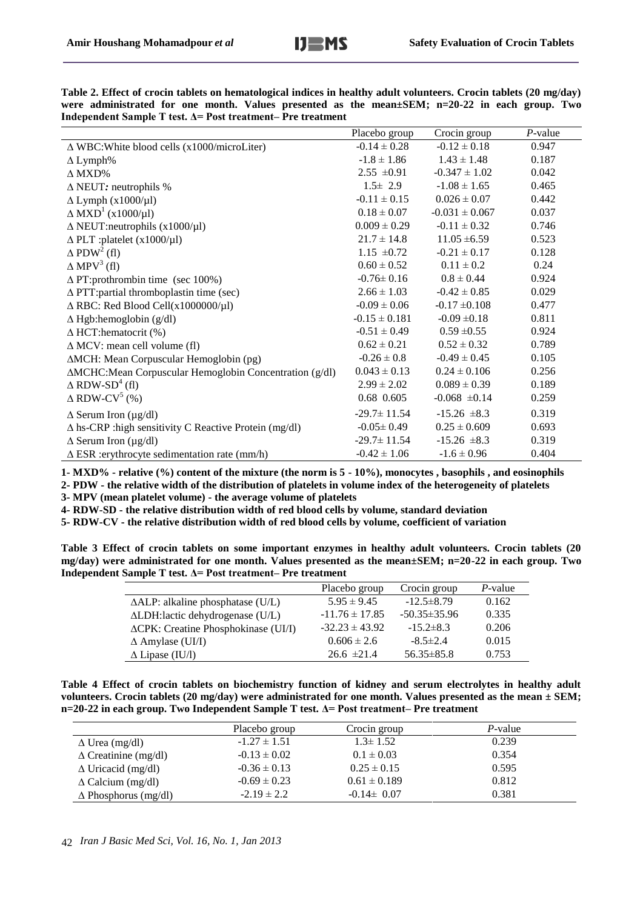| Table 2. Effect of crocin tablets on hematological indices in healthy adult volunteers. Crocin tablets (20 mg/day) |  |  |  |  |  |  |
|--------------------------------------------------------------------------------------------------------------------|--|--|--|--|--|--|
| were administrated for one month. Values presented as the mean $\pm$ SEM; n=20-22 in each group. Two               |  |  |  |  |  |  |
| Independent Sample T test. $\Delta$ = Post treatment– Pre treatment                                                |  |  |  |  |  |  |

|                                                               | Placebo group     | Crocin group       | $P$ -value |
|---------------------------------------------------------------|-------------------|--------------------|------------|
| $\triangle$ WBC: White blood cells (x1000/microLiter)         | $-0.14 \pm 0.28$  | $-0.12 \pm 0.18$   | 0.947      |
| $\Delta$ Lymph%                                               | $-1.8 \pm 1.86$   | $1.43 \pm 1.48$    | 0.187      |
| $\triangle$ MXD%                                              | $2.55 \pm 0.91$   | $-0.347 \pm 1.02$  | 0.042      |
| $\triangle$ NEUT: neutrophils %                               | $1.5 \pm 2.9$     | $-1.08 \pm 1.65$   | 0.465      |
| $\Delta$ Lymph (x1000/µl)                                     | $-0.11 \pm 0.15$  | $0.026 \pm 0.07$   | 0.442      |
| $\Delta$ MXD <sup>1</sup> (x1000/µl)                          | $0.18 \pm 0.07$   | $-0.031 \pm 0.067$ | 0.037      |
| $\triangle$ NEUT:neutrophils (x1000/µl)                       | $0.009 \pm 0.29$  | $-0.11 \pm 0.32$   | 0.746      |
| $\triangle$ PLT :platelet (x1000/µ1)                          | $21.7 \pm 14.8$   | $11.05 \pm 6.59$   | 0.523      |
| $\Delta$ PDW <sup>2</sup> (fl)                                | $1.15 \pm 0.72$   | $-0.21 \pm 0.17$   | 0.128      |
| $\Delta$ MPV <sup>3</sup> (fl)                                | $0.60 \pm 0.52$   | $0.11 \pm 0.2$     | 0.24       |
| $\Delta$ PT:prothrombin time (sec 100%)                       | $-0.76 \pm 0.16$  | $0.8 \pm 0.44$     | 0.924      |
| $\triangle$ PTT: partial thromboplastin time (sec)            | $2.66 \pm 1.03$   | $-0.42 \pm 0.85$   | 0.029      |
| $\triangle$ RBC: Red Blood Cell(x1000000/µl)                  | $-0.09 \pm 0.06$  | $-0.17 \pm 0.108$  | 0.477      |
| $\Delta$ Hgb:hemoglobin (g/dl)                                | $-0.15 \pm 0.181$ | $-0.09 \pm 0.18$   | 0.811      |
| $\Delta$ HCT:hematocrit (%)                                   | $-0.51 \pm 0.49$  | $0.59 \pm 0.55$    | 0.924      |
| $\triangle$ MCV: mean cell volume (fl)                        | $0.62 \pm 0.21$   | $0.52 \pm 0.32$    | 0.789      |
| ∆MCH: Mean Corpuscular Hemoglobin (pg)                        | $-0.26 \pm 0.8$   | $-0.49 \pm 0.45$   | 0.105      |
| ∆MCHC:Mean Corpuscular Hemoglobin Concentration (g/dl)        | $0.043 \pm 0.13$  | $0.24 \pm 0.106$   | 0.256      |
| $\triangle$ RDW-SD <sup>4</sup> (fl)                          | $2.99 \pm 2.02$   | $0.089 \pm 0.39$   | 0.189      |
| $\triangle$ RDW-CV <sup>5</sup> (%)                           | 0.68 0.605        | $-0.068 \pm 0.14$  | 0.259      |
| $\Delta$ Serum Iron (µg/dl)                                   | $-29.7 \pm 11.54$ | $-15.26 \pm 8.3$   | 0.319      |
| $\Delta$ hs-CRP : high sensitivity C Reactive Protein (mg/dl) | $-0.05 \pm 0.49$  | $0.25 \pm 0.609$   | 0.693      |
| $\Delta$ Serum Iron (µg/dl)                                   | $-29.7 \pm 11.54$ | $-15.26 \pm 8.3$   | 0.319      |
| $\triangle$ ESR : erythrocyte sedimentation rate (mm/h)       | $-0.42 \pm 1.06$  | $-1.6 \pm 0.96$    | 0.404      |

**1- MXD% - relative (%) content of the mixture (the norm is 5 - 10%), monocytes , basophils , and eosinophils**

**2- PDW - the relative width of the distribution of platelets in volume index of the heterogeneity of platelets**

**3- MPV (mean platelet volume) - the average volume of platelets**

**4- RDW-SD - the relative distribution width of red blood cells by volume, standard deviation**

**5- RDW-CV - the relative distribution width of red blood cells by volume, coefficient of variation**

**Table 3 Effect of crocin tablets on some important enzymes in healthy adult volunteers. Crocin tablets (20 mg/day) were administrated for one month. Values presented as the mean±SEM; n=20-22 in each group. Two Independent Sample T test. Δ= Post treatment– Pre treatment**

|                                              | Placebo group      | Crocin group       | $P$ -value |
|----------------------------------------------|--------------------|--------------------|------------|
| $\triangle ALP$ : alkaline phosphatase (U/L) | $5.95 \pm 9.45$    | $-12.5\pm8.79$     | 0.162      |
| ALDH:lactic dehydrogenase (U/L)              | $-11.76 \pm 17.85$ | $-50.35 \pm 35.96$ | 0.335      |
| ∆CPK: Creatine Phosphokinase (UI/I)          | $-32.23 \pm 43.92$ | $-15.2 \pm 8.3$    | 0.206      |
| $\Delta$ Amylase (UI/I)                      | $0.606 \pm 2.6$    | $-8.5 \pm 2.4$     | 0.015      |
| $\Delta$ Lipase (IU/l)                       | $26.6 \pm 21.4$    | $56.35 \pm 85.8$   | 0.753      |

**Table 4 Effect of crocin tablets on biochemistry function of kidney and serum electrolytes in healthy adult volunteers. Crocin tablets (20 mg/day) were administrated for one month. Values presented as the mean ± SEM; n=20-22 in each group. Two Independent Sample T test. Δ= Post treatment– Pre treatment**

|                             | Placebo group    | Crocin group     | P-value |
|-----------------------------|------------------|------------------|---------|
| $\Delta$ Urea (mg/dl)       | $-1.27 \pm 1.51$ | $1.3 \pm 1.52$   | 0.239   |
| $\Delta$ Creatinine (mg/dl) | $-0.13 \pm 0.02$ | $0.1 \pm 0.03$   | 0.354   |
| $\Delta$ Uricacid (mg/dl)   | $-0.36 \pm 0.13$ | $0.25 \pm 0.15$  | 0.595   |
| $\Delta$ Calcium (mg/dl)    | $-0.69 \pm 0.23$ | $0.61 \pm 0.189$ | 0.812   |
| $\Delta$ Phosphorus (mg/dl) | $-2.19 \pm 2.2$  | $-0.14 \pm 0.07$ | 0.381   |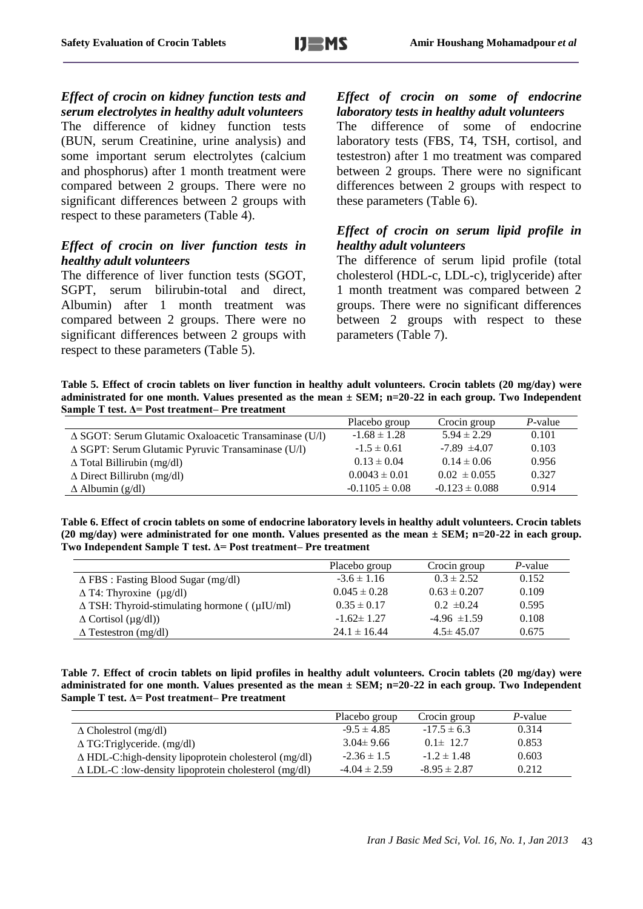*Effect of crocin on kidney function tests and serum electrolytes in healthy adult volunteers* The difference of kidney function tests (BUN, serum Creatinine, urine analysis) and some important serum electrolytes (calcium and phosphorus) after 1 month treatment were compared between 2 groups. There were no significant differences between 2 groups with respect to these parameters (Table 4).

#### *Effect of crocin on liver function tests in healthy adult volunteers*

The difference of liver function tests (SGOT, SGPT, serum bilirubin-total and direct, Albumin) after 1 month treatment was compared between 2 groups. There were no significant differences between 2 groups with respect to these parameters (Table 5).

*Effect of crocin on some of endocrine laboratory tests in healthy adult volunteers* The difference of some of endocrine laboratory tests (FBS, T4, TSH, cortisol, and testestron) after 1 mo treatment was compared between 2 groups. There were no significant differences between 2 groups with respect to these parameters (Table 6).

## *Effect of crocin on serum lipid profile in healthy adult volunteers*

The difference of serum lipid profile (total cholesterol (HDL-c, LDL-c), triglyceride) after 1 month treatment was compared between 2 groups. There were no significant differences between 2 groups with respect to these parameters (Table 7).

**Table 5. Effect of crocin tablets on liver function in healthy adult volunteers. Crocin tablets (20 mg/day) were administrated for one month. Values presented as the mean ± SEM; n=20-22 in each group. Two Independent Sample T test. Δ= Post treatment– Pre treatment**

|                                                                 | Placebo group      | Crocin group       | P-value |
|-----------------------------------------------------------------|--------------------|--------------------|---------|
| $\triangle$ SGOT: Serum Glutamic Oxaloacetic Transaminase (U/l) | $-1.68 \pm 1.28$   | $5.94 \pm 2.29$    | 0.101   |
| $\triangle$ SGPT: Serum Glutamic Pyruvic Transaminase (U/l)     | $-1.5 \pm 0.61$    | $-7.89 \pm 4.07$   | 0.103   |
| $\Delta$ Total Billirubin (mg/dl)                               | $0.13 \pm 0.04$    | $0.14 \pm 0.06$    | 0.956   |
| $\Delta$ Direct Billirubn (mg/dl)                               | $0.0043 \pm 0.01$  | $0.02 \pm 0.055$   | 0.327   |
| $\Delta$ Albumin (g/dl)                                         | $-0.1105 \pm 0.08$ | $-0.123 \pm 0.088$ | 0.914   |

**Table 6. Effect of crocin tablets on some of endocrine laboratory levels in healthy adult volunteers. Crocin tablets (20 mg/day) were administrated for one month. Values presented as the mean ± SEM; n=20-22 in each group. Two Independent Sample T test. Δ= Post treatment– Pre treatment**

|                                                           | Placebo group    | Crocin group     | $P$ -value |
|-----------------------------------------------------------|------------------|------------------|------------|
| $\Delta$ FBS : Fasting Blood Sugar (mg/dl)                | $-3.6 \pm 1.16$  | $0.3 \pm 2.52$   | 0.152      |
| $\Delta$ T4: Thyroxine (µg/dl)                            | $0.045 \pm 0.28$ | $0.63 \pm 0.207$ | 0.109      |
| $\Delta$ TSH: Thyroid-stimulating hormone (( $\mu$ IU/ml) | $0.35 \pm 0.17$  | $0.2 \pm 0.24$   | 0.595      |
| $\Delta$ Cortisol ( $\mu$ g/dl))                          | $-1.62 \pm 1.27$ | $-4.96 \pm 1.59$ | 0.108      |
| $\Delta$ Testestron (mg/dl)                               | $24.1 \pm 16.44$ | $4.5 \pm 45.07$  | 0.675      |

**Table 7. Effect of crocin tablets on lipid profiles in healthy adult volunteers. Crocin tablets (20 mg/day) were administrated for one month. Values presented as the mean ± SEM; n=20-22 in each group. Two Independent Sample T test. Δ= Post treatment– Pre treatment**

|                                                                 | Placebo group    | Crocin group     | P-value |
|-----------------------------------------------------------------|------------------|------------------|---------|
| $\Delta$ Cholestrol (mg/dl)                                     | $-9.5 \pm 4.85$  | $-17.5 \pm 6.3$  | 0.314   |
| $\Delta T$ G:Triglyceride. (mg/dl)                              | $3.04 \pm 9.66$  | $0.1 \pm 12.7$   | 0.853   |
| $\Delta$ HDL-C:high-density lipoprotein cholesterol (mg/dl)     | $-2.36 \pm 1.5$  | $-1.2 \pm 1.48$  | 0.603   |
| $\triangle$ LDL-C : low-density lipoprotein cholesterol (mg/dl) | $-4.04 \pm 2.59$ | $-8.95 \pm 2.87$ | 0.212   |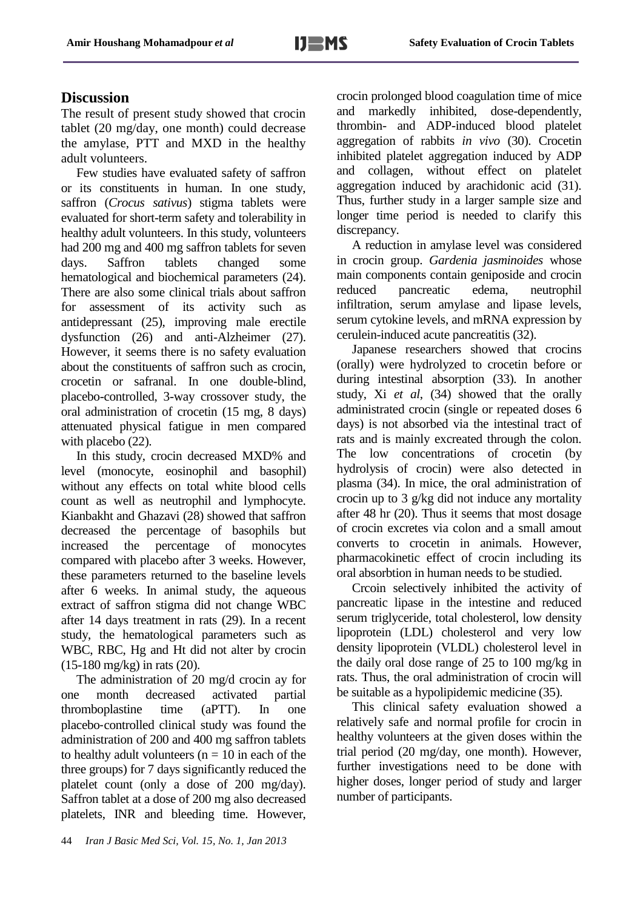# **Discussion**

The result of present study showed that crocin tablet (20 mg/day, one month) could decrease the amylase, PTT and MXD in the healthy adult volunteers.

Few studies have evaluated safety of saffron or its constituents in human. In one study, saffron (*Crocus sativus*) stigma tablets were evaluated for short-term safety and tolerability in healthy adult volunteers. In this study, volunteers had 200 mg and 400 mg saffron tablets for seven days. Saffron tablets changed some hematological and biochemical parameters (24). There are also some clinical trials about saffron for assessment of its activity such as antidepressant (25), improving male erectile dysfunction (26) and anti-Alzheimer (27). However, it seems there is no safety evaluation about the constituents of saffron such as crocin, crocetin or safranal. In one double-blind, placebo-controlled, 3-way crossover study, the oral administration of crocetin (15 mg, 8 days) attenuated physical fatigue in men compared with placebo  $(22)$ .

In this study, crocin decreased MXD% and level (monocyte, eosinophil and basophil) without any effects on total white blood cells count as well as neutrophil and lymphocyte. Kianbakht and Ghazavi (28) showed that saffron decreased the percentage of basophils but increased the percentage of monocytes compared with placebo after 3 weeks. However, these parameters returned to the baseline levels after 6 weeks. In animal study, the aqueous extract of saffron stigma did not change WBC after 14 days treatment in rats (29). In a recent study, the hematological parameters such as WBC, RBC, Hg and Ht did not alter by crocin (15-180 mg/kg) in rats (20).

The administration of 20 mg/d crocin ay for<br>emonth decreased activated nartial one month decreased activated thromboplastine time (aPTT). In one placebo‐controlled clinical study was found the administration of 200 and 400 mg saffron tablets to healthy adult volunteers ( $n = 10$  in each of the three groups) for 7 days significantly reduced the platelet count (only a dose of 200 mg/day). Saffron tablet at a dose of 200 mg also decreased platelets, INR and bleeding time. However, crocin prolonged blood coagulation time of mice and markedly inhibited, dose-dependently, thrombin- and ADP-induced blood platelet aggregation of rabbits *in vivo* (30). Crocetin inhibited platelet aggregation induced by ADP and collagen, without effect on platelet aggregation induced by arachidonic acid (31). Thus, further study in a larger sample size and longer time period is needed to clarify this discrepancy.

A reduction in amylase level was considered in crocin group. *Gardenia jasminoides* whose main components contain geniposide and crocin reduced pancreatic edema, neutrophil infiltration, serum amylase and lipase levels, serum cytokine levels, and mRNA expression by cerulein-induced acute pancreatitis (32).

Japanese researchers showed that crocins (orally) were hydrolyzed to crocetin before or during intestinal absorption (33). In another study, Xi *et al*, (34) showed that the orally administrated crocin (single or repeated doses 6 days) is not absorbed via the intestinal tract of rats and is mainly excreated through the colon. The low concentrations of crocetin (by hydrolysis of crocin) were also detected in plasma (34). In mice, the oral administration of crocin up to 3 g/kg did not induce any mortality after 48 hr (20). Thus it seems that most dosage of crocin excretes via colon and a small amout converts to crocetin in animals. However, pharmacokinetic effect of crocin including its oral absorbtion in human needs to be studied.

Crcoin selectively inhibited the activity of pancreatic lipase in the intestine and reduced serum triglyceride, total cholesterol, low density lipoprotein (LDL) cholesterol and very low density lipoprotein (VLDL) cholesterol level in the daily oral dose range of 25 to 100 mg/kg in rats. Thus, the oral administration of crocin will be suitable as a hypolipidemic medicine (35).

This clinical safety evaluation showed a relatively safe and normal profile for crocin in healthy volunteers at the given doses within the trial period (20 mg/day, one month). However, further investigations need to be done with higher doses, longer period of study and larger number of participants.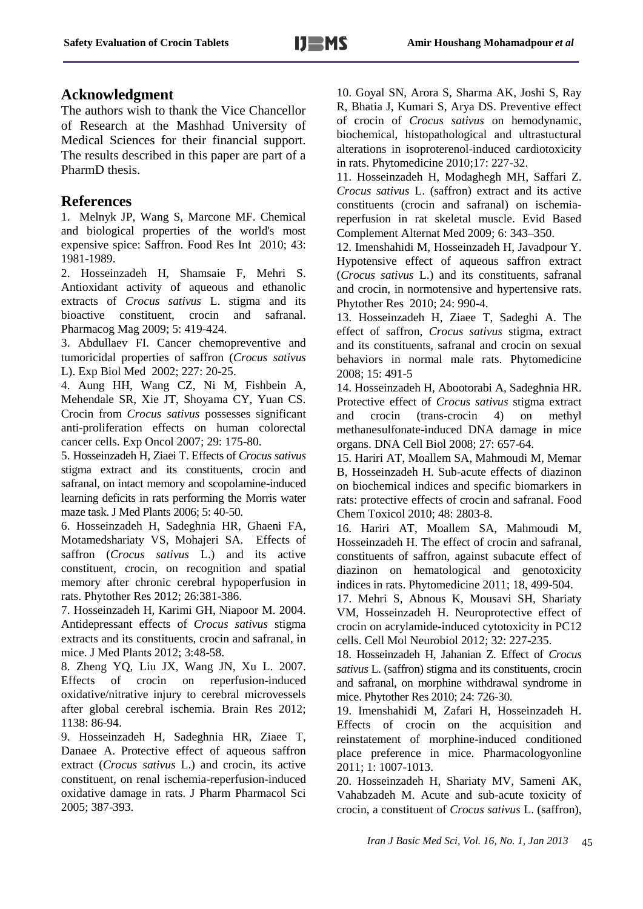#### **Acknowledgment**

The authors wish to thank the Vice Chancellor of Research at the Mashhad University of Medical Sciences for their financial support. The results described in this paper are part of a PharmD thesis.

#### **References**

1. Melnyk JP, Wang S, Marcone MF. Chemical and biological properties of the world's most expensive spice: Saffron. Food Res Int 2010; 43: 1981-1989.

2. Hosseinzadeh H, Shamsaie F, Mehri S. Antioxidant activity of aqueous and ethanolic extracts of *Crocus sativus* L. stigma and its bioactive constituent, crocin and safranal. Pharmacog Mag 2009; 5: 419-424.

3. Abdullaev FI. Cancer chemopreventive and tumoricidal properties of saffron (*Crocus sativus* L). Exp Biol Med 2002; 227: 20-25.

4. Aung HH, Wang CZ, Ni M, Fishbein A, Mehendale SR, Xie JT, Shoyama CY, Yuan CS. Crocin from *Crocus sativus* possesses significant anti-proliferation effects on human colorectal cancer cells. Exp Oncol 2007; 29: 175-80.

5. Hosseinzadeh H, Ziaei T. Effects of *Crocus sativus* stigma extract and its constituents, crocin and safranal, on intact memory and scopolamine-induced learning deficits in rats performing the Morris water maze task. J Med Plants 2006; 5: 40-50.

6. Hosseinzadeh H, Sadeghnia HR, Ghaeni FA, Motamedshariaty VS, Mohajeri SA. Effects of saffron (*Crocus sativus* L.) and its active constituent, crocin, on recognition and spatial memory after chronic cerebral hypoperfusion in rats. Phytother Res 2012; 26:381-386.

7. Hosseinzadeh H, Karimi GH, Niapoor M. 2004. Antidepressant effects of *Crocus sativus* stigma extracts and its constituents, crocin and safranal, in mice. J Med Plants 2012; 3:48-58.

8. Zheng YQ, Liu JX, Wang JN, Xu L. 2007. Effects of crocin on reperfusion-induced oxidative/nitrative injury to cerebral microvessels after global cerebral ischemia. Brain Res 2012; 1138: 86-94.

9. Hosseinzadeh H, Sadeghnia HR, Ziaee T, Danaee A. Protective effect of aqueous saffron extract (*Crocus sativus* L.) and crocin, its active constituent, on renal ischemia-reperfusion-induced oxidative damage in rats. J Pharm Pharmacol Sci 2005; 387-393.

10. Goyal SN, Arora S, Sharma AK, Joshi S, Ray R, Bhatia J, Kumari S, Arya DS. Preventive effect of crocin of *Crocus sativus* on hemodynamic, biochemical, histopathological and ultrastuctural alterations in isoproterenol-induced cardiotoxicity in rats. Phytomedicine 2010;17: 227-32.

11. Hosseinzadeh H, Modaghegh MH, Saffari Z. *Crocus sativus* L. (saffron) extract and its active constituents (crocin and safranal) on ischemiareperfusion in rat skeletal muscle. Evid Based Complement Alternat Med 2009; 6: 343–350.

12. Imenshahidi M, Hosseinzadeh H, Javadpour Y. Hypotensive effect of aqueous saffron extract (*Crocus sativus* L.) and its constituents, safranal and crocin, in normotensive and hypertensive rats. Phytother Res 2010; 24: 990-4.

13. Hosseinzadeh H, Ziaee T, Sadeghi A. The effect of saffron, *Crocus sativus* stigma, extract and its constituents, safranal and crocin on sexual behaviors in normal male rats. Phytomedicine 2008; 15: 491-5

14. Hosseinzadeh H, Abootorabi A, Sadeghnia HR. Protective effect of *Crocus sativus* stigma extract and crocin (trans-crocin 4) on methyl methanesulfonate-induced DNA damage in mice organs. DNA Cell Biol 2008; 27: 657-64.

15. Hariri AT, Moallem SA, Mahmoudi M, Memar B, Hosseinzadeh H. Sub-acute effects of diazinon on biochemical indices and specific biomarkers in rats: protective effects of crocin and safranal. Food Chem Toxicol 2010; 48: 2803-8.

16. Hariri AT, Moallem SA, Mahmoudi M, Hosseinzadeh H. The effect of crocin and safranal, constituents of saffron, against subacute effect of diazinon on hematological and genotoxicity indices in rats. Phytomedicine 2011; 18, 499-504.

17. Mehri S, Abnous K, Mousavi SH, Shariaty VM, Hosseinzadeh H. Neuroprotective effect of crocin on acrylamide-induced cytotoxicity in PC12 cells. Cell Mol Neurobiol 2012; 32: 227-235.

18. Hosseinzadeh H, Jahanian Z. Effect of *Crocus sativus* L. (saffron) stigma and its constituents, crocin and safranal, on morphine withdrawal syndrome in mice. Phytother Res 2010; 24: 726-30.

19. Imenshahidi M, Zafari H, Hosseinzadeh H. Effects of crocin on the acquisition and reinstatement of morphine-induced conditioned place preference in mice. Pharmacologyonline 2011; 1: 1007-1013.

20. Hosseinzadeh H, Shariaty MV, Sameni AK, Vahabzadeh M. Acute and sub-acute toxicity of crocin, a constituent of *Crocus sativus* L. (saffron),